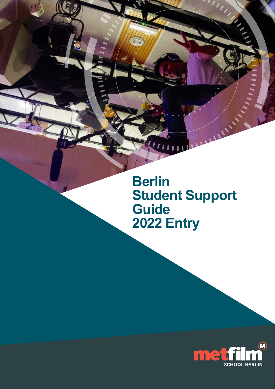**Berlin Student Support Guide 2022 Entry**

 $\overline{\mathbf{I}}$  $\overline{\mathbf{u}}$ 

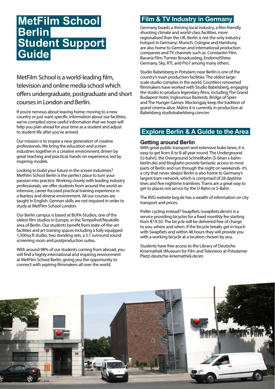# **MetFilm School Berlin Student Support Guide**

MetFilm School is a world-leading film, television and online media school which offers undergraduate, postgraduate and short courses in London and Berlin.

If you're nervous about leaving home, moving to a new country or just want specific information about our facilities, we've compiled some useful information that we hope will help you plan ahead for your time as a student and adjust to student life after you've arrived.

Our mission is to inspire a new generation of creative professionals. We bring the education and screen industries together in a creative environment, driven by great teaching and practical, hands-on experience, led by inspiring models.

Looking to build your future in the screen industries? MetFilm School Berlin is the perfect place to turn your passion into practice. Working closely with leading industry professionals, we offer students from around the world an intensive, career-focused practical training experience in a fearless and diverse environment. All our courses are taught in English. German skills are not required in order to study at MetFilm School London.

Our Berlin campus is based at BUFA-Studios, one of the oldest film studios in Europe, in the Tempelhof/Neukölln area of Berlin. Our students benefit from state-of-the-art facilities and art training spaces including a fully equipped 1,500sq ft studio, two standing sets, a 5.1 surround sound screening room and postproduction suites.

With around 98% of our students coming from abroad, you will find a highly international and inspiring environment at MetFilm School Berlin, giving you the opportunity to connect with aspiring filmmakers all over the world.

# **Film & TV Industry in Germany**

Germany boasts a thriving local industry, a film-friendly shooting climate and world-class facilities, more regionalised than the UK, Berlin is not the only industry hotspot in Germany: Munich, Cologne and Hamburg are also home to German and international production companies and TV channels such as Constantin Film, Bavaria Film, Turmer Broadcasting, EndemolShine Germany, Sky, RTL and Pro7 among many others.

Studio Babelsberg in Potsdam; near Berlin is one of the country's main production facilities. The oldest largescale studio complex in the world. Countless renowned filmmakers have worked with Studio Babelsberg, engaging the studio to produce legendary films, including The Grand Budapest Hotel, Inglourious Basterds, Bridge of Spies and The Hunger Games: Mockingjay keep the tradition of grand cinema alive. Matrix 4 is currently in production at Babelsberg [studiobabelsberg.com/en](http://studiobabelsberg.com/en)

# **Explore Berlin & A Guide to the Area**

### **Getting around Berlin**

With great public transport and extensive buke lanes, it is easy to get from A to B all year-round. The Underground (U-bahn), the Overground Schnellbahn (S-bhan [s-bahn](http://s-bahn-berlin.de)[berlin.de\)](http://s-bahn-berlin.de) and Ringbahn provide fantastic access to most parts of Berlin and run through the night on weekends- it's a city that never sleeps! Berlin is also home to Germany's largest tram network, which is comprised of 28 daytime lines and five nightime tramlines. Trams are a great way to get to places not servce by the U-Bahn or S-Bahn.

The BVG websit[e bvg.de](http:// bvg.de) has a wealth of information on city transport and prices.

Prefer cycling instead? Swapfiets [\(swapfiets.de/en](http://swapfiets.de/en)) is a service providing bicycles for a fixed monthly fee starting from €19.50. The bicycle will be delivered free of charge to you, where and when. If the bicycle breaks get in touch with Swapfiets and within 48 hours they will provide you with a working bicycle at a location chosen by you.

Students have free access to the Library of Deutsche Kinemathek (Museum for Film and Television at Potsdamer Platz[\) deutsche-kinemathek.de/en](http:// deutsche-kinemathek.de/en)

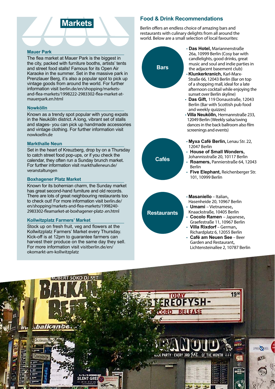# **Markets**

#### **Mauer Park**

The flea market at Mauer Park is the biggest in the city, packed with furniture booths, artists' tents and street food stalls! Famous for its Open Air Karaoke in the summer. Set in the massive park in Prenzlauer Berg, it's also a popular spot to pick up vintage goods from around the world. For further information visit [berlin.de/en/shopping/markets](http://berlin.de/en/shopping/markets-and-flea-markets/1998222-2983302-flea-market-at-mauerpark.en.html )[and-flea-markets/1998222-2983302-flea-market-at](http://berlin.de/en/shopping/markets-and-flea-markets/1998222-2983302-flea-market-at-mauerpark.en.html )[mauerpark.en.html](http://berlin.de/en/shopping/markets-and-flea-markets/1998222-2983302-flea-market-at-mauerpark.en.html )

#### **Nowkölln**

Known as a trendy spot popular with young expats in the Neukölln district. A long, vibrant set of stalls and stages- you can pick up handmade accessories and vintage clothing. For further information visit [nowkoelln.de](http://nowkoelln.de)

#### **Markthalle Neun**

Set in the heart of Kreuzberg, drop by on a Thursday to catch street food pop-ups, or if you check the calendar, they often run a Sunday brunch market. For further information visit [markthalleneun.de/](http://markthalleneun.de/veranstaltungen) [veranstaltungen](http://markthalleneun.de/veranstaltungen)

#### **Boxhagener Platz Market**

Known for its bohemian charm, the Sunday market has great second-hand furniture and old records. There are lots of great neighbouring restaurants too to check out! For more information visit [berlin.de/](http://berlin.de/en/shopping/markets-and-flea-markets/1998240-2983302-fleamarket-at-boxhagener-platz-.en.html) [en/shopping/markets-and-flea-markets/1998240-](http://berlin.de/en/shopping/markets-and-flea-markets/1998240-2983302-fleamarket-at-boxhagener-platz-.en.html) [2983302-fleamarket-at-boxhagener-platz-.en.html](http://berlin.de/en/shopping/markets-and-flea-markets/1998240-2983302-fleamarket-at-boxhagener-platz-.en.html)

#### **Kollwitzplatz Farmers' Market**

Stock up on fresh fruit, veg and flowers at the Kollwitzplatz Farmers' Market every Thursday. Kick-off is at 12pm to guarantee farmers can harvest their produce on the same day they sell. For more information visit [visitberlin.de/en/](http://visitberlin.de/en/okomarkt-am-kollwitzplatz ) [okomarkt-am-kollwitzplatz](http://visitberlin.de/en/okomarkt-am-kollwitzplatz )

### **Food & Drink Recommendations**

Berlin offers an endless choice of amazing bars and restaurants with culinary delights from all around the world. Below are a small selection of local favourites:



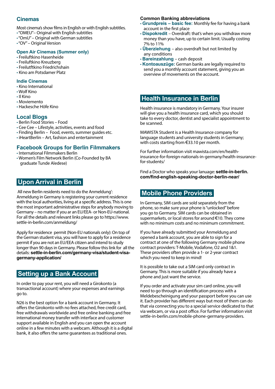### **Cinemas**

- Most cinema's show films in English or with English subtitles.
- "OMEU"– Original with English subtitles
- "OmU" Original with German subtitles
- "OV" Original Version

#### **Open Air Cinemas (Summer only)**

- [Freiluftkino Hasenheide](http://hfreiluftkino-hasenheide.de/#default)
- [Freiluftkino Kreuzberg](http://freiluftkino-kreuzberg.de)
- [Freilutftkino Friedrichshain](http://freiluftkino-berlin.de/eine_woche.php)
- [Kino am Potsdamer Platz](http://yorck.de/kinos/sommerkino-kulturforum)

#### **Indie Cinemas**

- [Kino International](http://kino-international.com)
- [Wolf Kino](http://wolfberlin.org)
- [Il Kino](http://ilkino.de)
- [Moviemento](http://moviemento.de)
- [Hackesche Höfe Kino](http://hoefekino.de)

### **Local Blogs**

- [Berlin Food Stories](http://berlinfoodstories.com)  Food
- [Cee Cee](http://ceecee.cc/en)  Lifestyle, activities, events and food
- [Finding Berlin](http://findingberlin.com) Food, events, summer guides etc.
- [iHeartBerlin](http://iheartberlin.de ) Art, fashion and entertainment

### **Facebook Groups for Berlin Filmmakers**

- [International Filmmakers Berlin](https://www.facebook.com/InternationalFilmmakersNetworkBerlin/)
- [Women's Film Network Berlin](http://facebook.com/WomensFilmNetworkBerlin) (Co-Founded by BA graduate Tunde Aledese)

# **Upon Arrival in Berlin**

 All new Berlin residents need to do the Anmeldung': Anmeldung in Germany is registering your current residence with the local authorities, living at a specific address. This is one the most important administrative steps for anybody moving to Germany – no matter if you ar an EU/EEA- or Non-EU-national. For all the details and relevant links please go to https://www. settle-in-berlin.com/anmeldung/

Apply for residence permit (Non-EU nationals only): On top of the German student visa, you will have to apply for a residence permit if you are not an EU/EEA citizen and intend to study longer than 90 days in Germany. Please follow this link for all the details: **[settle-in-berlin.com/germany-visa/student-visa](https://www.settle-in-berlin.com/germany-visa/student-visa-germany-application/)[germany-application/](https://www.settle-in-berlin.com/germany-visa/student-visa-germany-application/)**

# **Setting up a Bank Account**

In order to pay your rent, you will need a Girokonto (a transactional account) where your expenses and earnings go to.

[N26](https://n26.com/) is the best option for a bank account in Germany. It offers the Girokonto with no fees attached, free credit card, free withdrawals worldwide and free online banking and free international money transfer with interface and customer support available in English and you can open the account online in a few minutes with a webcam. Although it is a digital bank, it also offers the same guarantees as traditional ones.

#### **Common Banking abbreviations**

- **Grundpreis basic fee:** Monthly fee for having a bank account in the first place
- **Dispokredit**  Overdraft: that's when you withdraw more money than you have, up to certain limit. Usually costing 7% to 11%
- **Überziehung**  also overdraft but not limited by any conditions
- **Bareinzahlung**  cash deposit
- **Kontoauszüge:** German banks are legally required to send you a monthly account statement, giving you an overview of movements on the account.

# **Health Insurance in Berlin**

Health insurance is mandatory in Germany. Your insurer will give you a health insurance card, which you should take to every doctor, dentist and specialist appointment to be scanned.

MAWISTA Student is a Health Insurance company for language students and university students in Germany; with costs starting from €33.10 per month.

For further information visit [mawista.com/en/health](https://www.settle-in-berlin.com/find-english-speaking-doctor-berlin-near/)[insurance-for-foreign-nationals-in-germany/health-insurance](https://www.settle-in-berlin.com/find-english-speaking-doctor-berlin-near/)[for-students/](https://www.settle-in-berlin.com/find-english-speaking-doctor-berlin-near/)

[Find a Doctor who speaks your lanuage:](https://www.settle-in-berlin.com/find-english-speaking-doctor-berlin-near/) **settle-in-berlin. [com/find-english-speaking-doctor-berlin-near/](https://www.settle-in-berlin.com/find-english-speaking-doctor-berlin-near/)**

# **Mobile Phone Providers**

In Germany, SIM cards are sold separately from the phone, so make sure your phone is "unlocked" before you go to Germany. SIM cards can be obtained in supermarkets, or local stores for around €10. They come with no minimum costs and no minimum commitment.

If you have already submitted your Anmeldung and opened a bank account, you are able to sign for a contract at one of the following Germany mobile phone contract providers: T-Mobile, Vodafone, O2 and 1&1. These providers often provide a 1- or 2-year contract which you need to keep in mind!

It is possible to take out a SIM card only contract in Germany. This is more suitable if you already have a phone and just want the service.

If you order and activate your sim card online, you will need to go through an identification process with a Meldebescheinigung and your passport before you can use it. Each provider has different ways but most of them can do that via connecting you to a special service dedicated to that via webcam, or via a post office. For further information visit [settle-in-berlin.com/mobile-phone-germany-providers.](http://settle-in-berlin.com/mobile-phone-germany-providers)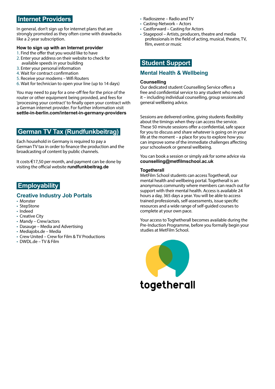# **Internet Providers**

In general, don't sign up for internet plans that are strongly promoted as they often come with drawbacks like a 2-year subscription.

#### **How to sign up with an Internet provider**

- 1. Find the offer that you would like to have
- 2. Enter your address on their website to check for available speeds in your building
- 3. Enter your personal information
- 4. Wait for contract confirmation
- 5. Receive your modems Wifi Routers
- 6. Wait for technician to open your line (up to 14 days)

You may need to pay for a one-off fee for the price of the router or other equipment being provided, and fees for 'processing your contract' to finally open your contract with a German internet provider. For further information visit **[settle-in-berlin.com/internet-in-germany-providers](http://settle-in-berlin.com/internet-in-germany-providers)** 

# **German TV Tax (Rundfunkbeitrag)**

Each household in Germany is required to pay a German TV tax in order to finance the production and the broadcasting of content by public channels.

It costs  $\epsilon$ 17,50 per month, and payment can be done by visiting the official website **[rundfunkbeitrag.de](http:// rundfunkbeitrag.de)** 

# **Employability**

### **Creative Industry Job Portals**

- [Monster](http://monster.de)
- [StepStone](http://stepstone.de)
- [Indeed](http://de.indeed.com)
- [Creative City](http://creative-city-berlin.de/en/jobs/all)
- [Mandy](http://mandy.com) Crew/actors
- [Dasauge](http://dasauge.de/profile/?begriff=jobs) Media and Advertising
- [Mediajobs.de](http://mediajobs.de)  Media
- [Crew United](http://crew-united.com/en)  Crew for Film & TV Productions
- [DWDL.de](http://dwdl.de) TV & Film
- [Radioszene](http://radioszene.de/kategorie/jobs )  Radio and TV
- [Casting-Network](http://corp.castingnetworks.com) Actors
- [Castforward](http://castforward.de)  Casting for Actors
- [Stagepool](http://en.stagepool.com) Artists, producers, theatre and media professionals in the field of acting, musical, theatre, TV, film, event or music

### **Student Support**

### **Mental Health & Wellbeing**

#### **Counselling**

Our dedicated student Counselling Service offers a free and confidential service to any student who needs it – including individual counselling, group sessions and general wellbeing advice.

Sessions are delivered online, giving students flexibility about the timings when they can access the service. These 50 minute sessions offer a confidential, safe space for you to discuss and share whatever is going on in your life at the moment – a place for you to explore how you can improve some of the immediate challenges affecting your schoolwork or general wellbeing.

You can book a session or simply ask for some advice via **[counselling@metfilmschool.ac.uk](mailto:counselling%40metfilmschool.ac.uk?subject=)** 

#### **Togetherall**

MetFilm School students can access Togethe[rall](https://togetherall.com/en-gb/), our mental health and wellbeing portal. Togetherall is an anonymous community where members can reach out for support with their mental health. Access is available 24 hours a day, 365 days a year. You will be able to access trained professionals, self-assessments, issue specific resources and a wide range of self-guided courses to complete at your own pace.

Your access to Toghetherall becomes available during the Pre-Induction Programme, before you formally begin your studies at MetFilm School.

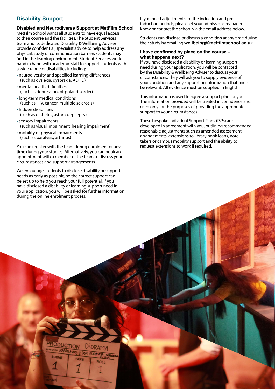### **Disability Support**

**Disabled and Neurodiverse Support at MetFilm School**

MetFilm School wants all students to have equal access to their course and the facilities. The Student Services team and its dedicated Disability & Wellbeing Adviser provide confidential, specialist advice to help address any physical, study or communication barriers students may find in the learning environment. Student Services work hand in hand with academic staff to support students with a wide range of disabilities including:

- neurodiversity and specified learning differences (such as dyslexia, dyspraxia, ADHD)
- mental health difficulties (such as depression, bi-polar disorder)
- long-term medical conditions (such as HIV, cancer, multiple sclerosis)
- hidden disabilities (such as diabetes, asthma, epilepsy)
- •sensory impairments (such as visual impairment, hearing impairment)
- mobility or physical impairments (such as paralysis, arthritis)

You can register with the team during enrolment or any time during your studies. Alternatively, you can book an appointment with a member of the team to discuss your circumstances and support arrangements.

We encourage students to disclose disability or support needs as early as possible, so the correct support can be set up to help you reach your full potential. If you have disclosed a disability or learning support need in your application, you will be asked for further information during the online enrolment process.

If you need adjustments for the induction and preinduction periods, please let your admissions manager know or contact the school via the email address below.

Students can disclose or discuss a condition at any time during their study by emailing **[wellbeing@metfilmschool.ac.uk](mailto:wellbeing%40metfilmschool.ac.uk?subject=)** 

#### **I have confirmed by place on the course – what happens next?**

If you have disclosed a disability or learning support need during your application, you will be contacted by the Disability & Wellbeing Adviser to discuss your circumstances. They will ask you to supply evidence of your condition and any supporting information that might be relevant. All evidence must be supplied in English.

This information is used to agree a support plan for you. The information provided will be treated in confidence and used only for the purposes of providing the appropriate support to your circumstances.

These bespoke Individual Support Plans (ISPs) are developed in agreement with you, outlining recommended reasonable adjustments such as amended assessment arrangements, extensions to library book loans, notetakers or campus mobility support and the ability to request extensions to work if required.